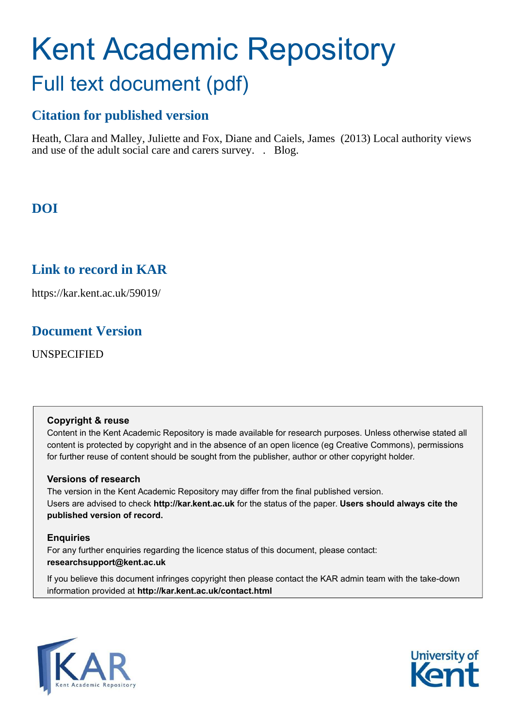# Kent Academic Repository Full text document (pdf)

# **Citation for published version**

Heath, Clara and Malley, Juliette and Fox, Diane and Caiels, James (2013) Local authority views and use of the adult social care and carers survey. . Blog.

# **DOI**

# **Link to record in KAR**

https://kar.kent.ac.uk/59019/

# **Document Version**

UNSPECIFIED

#### **Copyright & reuse**

Content in the Kent Academic Repository is made available for research purposes. Unless otherwise stated all content is protected by copyright and in the absence of an open licence (eg Creative Commons), permissions for further reuse of content should be sought from the publisher, author or other copyright holder.

#### **Versions of research**

The version in the Kent Academic Repository may differ from the final published version. Users are advised to check **http://kar.kent.ac.uk** for the status of the paper. **Users should always cite the published version of record.**

#### **Enquiries**

For any further enquiries regarding the licence status of this document, please contact: **researchsupport@kent.ac.uk**

If you believe this document infringes copyright then please contact the KAR admin team with the take-down information provided at **http://kar.kent.ac.uk/contact.html**



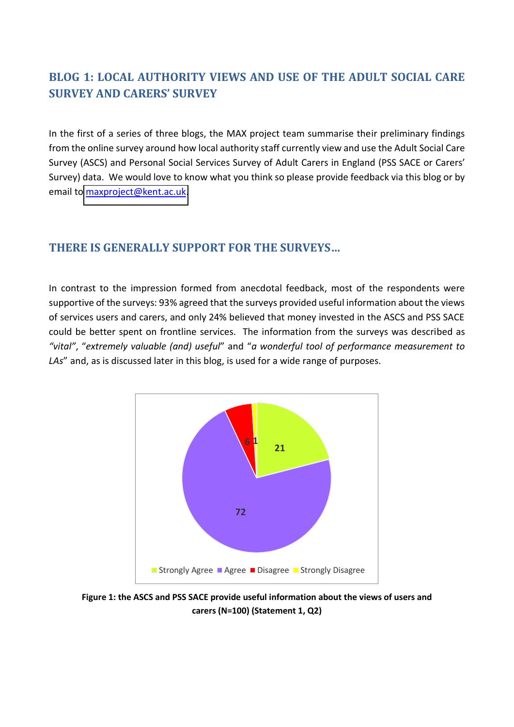## **BLOG 1: LOCAL AUTHORITY VIEWS AND USE OF THE ADULT SOCIAL CARE SURVEY AND CARERS' SURVEY**

In the first of a series of three blogs, the MAX project team summarise their preliminary findings from the online survey around how local authority staff currently view and use the Adult Social Care Survey (ASCS) and Personal Social Services Survey of Adult Carers in England (PSS SACE or Carers' Survey) data. We would love to know what you think so please provide feedback via this blog or by email to [maxproject@kent.ac.uk.](mailto:maxproject@kent.ac.uk)

## **THERE IS GENERALLY SUPPORT FOR THE SURVEYS...**

In contrast to the impression formed from anecdotal feedback, most of the respondents were supportive of the surveys: 93% agreed that the surveys provided useful information about the views of services users and carers, and only 24% believed that money invested in the ASCS and PSS SACE could be better spent on frontline services. The information from the surveys was described as "vital", "extremely valuable (and) useful" and "a wonderful tool of performance measurement to LAs" and, as is discussed later in this blog, is used for a wide range of purposes.



**Figure 1: the ASCS and PSS SACE provide useful information about the views of users and carers (N=100) (Statement 1, Q2)**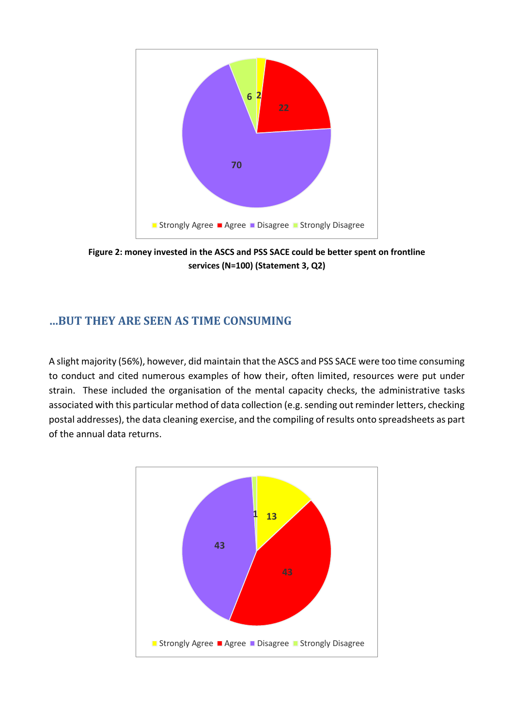

**Figure 2: money invested in the ASCS and PSS SACE could be better spent on frontline services (N=100) (Statement 3, Q2)** 

## **┼BUT THEY ARE SEEN AS TIME CONSUMING**

A slight majority (56%), however, did maintain that the ASCS and PSS SACE were too time consuming to conduct and cited numerous examples of how their, often limited, resources were put under strain. These included the organisation of the mental capacity checks, the administrative tasks associated with this particular method of data collection (e.g. sending out reminder letters, checking postal addresses), the data cleaning exercise, and the compiling of results onto spreadsheets as part of the annual data returns.

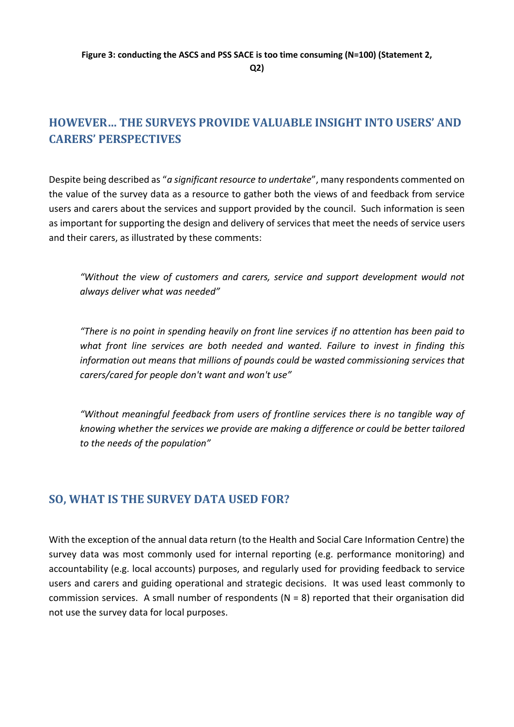**Q2)** 

## **HOWEVER... THE SURVEYS PROVIDE VALUABLE INSIGHT INTO USERS' AND CARERS' PERSPECTIVES**

Despite being described as "a significant resource to undertake", many respondents commented on the value of the survey data as a resource to gather both the views of and feedback from service users and carers about the services and support provided by the council. Such information is seen as important for supporting the design and delivery of services that meet the needs of service users and their carers, as illustrated by these comments:

*"Without the view of customers and carers, service and support development would not*  $i$ *always deliver what was needed"* 

*definit als no point in spending heavily on front line services if no attention has been paid to*  $\overline{a}$ *what front line services are both needed and wanted. Failure to invest in finding this information out means that millions of pounds could be wasted commissioning services that carers/cared for people don't want and won't use"* 

"Without meaningful feedback from users of frontline services there is no tangible way of *knowing whether the services we provide are making a difference or could be better tailored to the needs of the population"* 

## **SO, WHAT IS THE SURVEY DATA USED FOR?**

With the exception of the annual data return (to the Health and Social Care Information Centre) the survey data was most commonly used for internal reporting (e.g. performance monitoring) and accountability (e.g. local accounts) purposes, and regularly used for providing feedback to service users and carers and guiding operational and strategic decisions. It was used least commonly to commission services. A small number of respondents (N = 8) reported that their organisation did not use the survey data for local purposes.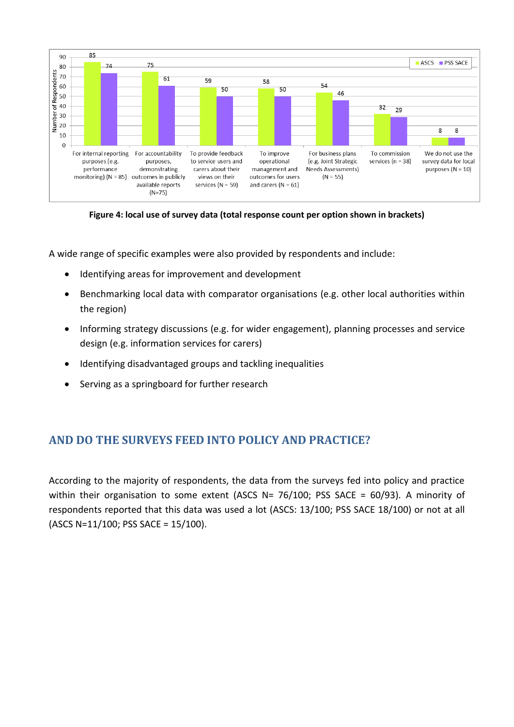

**Figure 4: local use of survey data (total response count per option shown in brackets)** 

A wide range of specific examples were also provided by respondents and include:

- Identifying areas for improvement and development
- Benchmarking local data with comparator organisations (e.g. other local authorities within the region)
- Informing strategy discussions (e.g. for wider engagement), planning processes and service design (e.g. information services for carers)
- Identifying disadvantaged groups and tackling inequalities
- Serving as a springboard for further research

## **AND DO THE SURVEYS FEED INTO POLICY AND PRACTICE?**

According to the majority of respondents, the data from the surveys fed into policy and practice within their organisation to some extent (ASCS N= 76/100; PSS SACE = 60/93). A minority of respondents reported that this data was used a lot (ASCS: 13/100; PSS SACE 18/100) or not at all (ASCS N=11/100; PSS SACE = 15/100).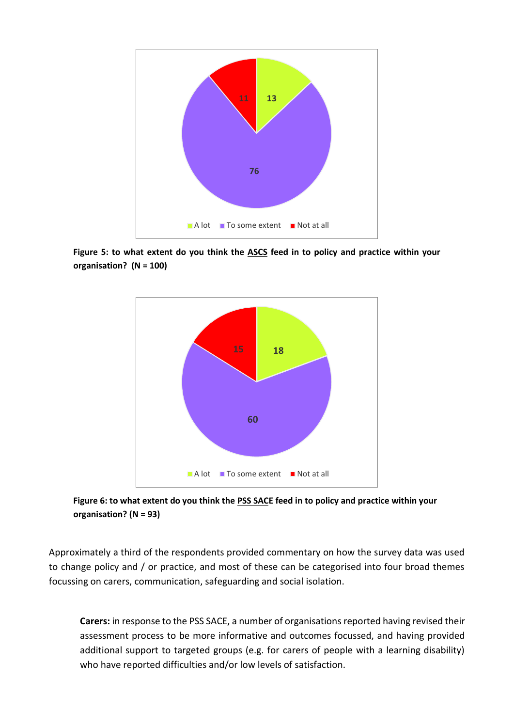

**Figure 5: to what extent do you think the ASCS feed in to policy and practice within your organisation? (N = 100)** 





Approximately a third of the respondents provided commentary on how the survey data was used to change policy and / or practice, and most of these can be categorised into four broad themes focussing on carers, communication, safeguarding and social isolation.

**Carers:** in response to the PSS SACE, a number of organisations reported having revised their assessment process to be more informative and outcomes focussed, and having provided additional support to targeted groups (e.g. for carers of people with a learning disability) who have reported difficulties and/or low levels of satisfaction.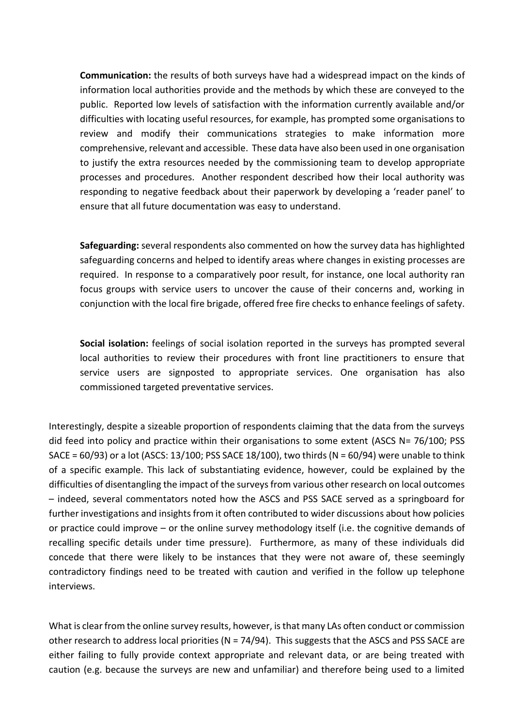**Communication:** the results of both surveys have had a widespread impact on the kinds of information local authorities provide and the methods by which these are conveyed to the public. Reported low levels of satisfaction with the information currently available and/or difficulties with locating useful resources, for example, has prompted some organisations to review and modify their communications strategies to make information more comprehensive, relevant and accessible. These data have also been used in one organisation to justify the extra resources needed by the commissioning team to develop appropriate processes and procedures. Another respondent described how their local authority was responding to negative feedback about their paperwork by developing a 'reader panel' to ensure that all future documentation was easy to understand.

**Safeguarding:** several respondents also commented on how the survey data has highlighted safeguarding concerns and helped to identify areas where changes in existing processes are required. In response to a comparatively poor result, for instance, one local authority ran focus groups with service users to uncover the cause of their concerns and, working in conjunction with the local fire brigade, offered free fire checks to enhance feelings of safety.

**Social isolation:** feelings of social isolation reported in the surveys has prompted several local authorities to review their procedures with front line practitioners to ensure that service users are signposted to appropriate services. One organisation has also commissioned targeted preventative services.

Interestingly, despite a sizeable proportion of respondents claiming that the data from the surveys did feed into policy and practice within their organisations to some extent (ASCS N= 76/100; PSS SACE =  $60/93$ ) or a lot (ASCS: 13/100; PSS SACE 18/100), two thirds (N =  $60/94$ ) were unable to think of a specific example. This lack of substantiating evidence, however, could be explained by the difficulties of disentangling the impact of the surveys from various other research on local outcomes に indeed, several commentators noted how the ASCS and PSS SACE served as a springboard for further investigations and insights from it often contributed to wider discussions about how policies or practice could improve  $-$  or the online survey methodology itself (i.e. the cognitive demands of recalling specific details under time pressure). Furthermore, as many of these individuals did concede that there were likely to be instances that they were not aware of, these seemingly contradictory findings need to be treated with caution and verified in the follow up telephone interviews.

What is clear from the online survey results, however, is that many LAs often conduct or commission other research to address local priorities ( $N = 74/94$ ). This suggests that the ASCS and PSS SACE are either failing to fully provide context appropriate and relevant data, or are being treated with caution (e.g. because the surveys are new and unfamiliar) and therefore being used to a limited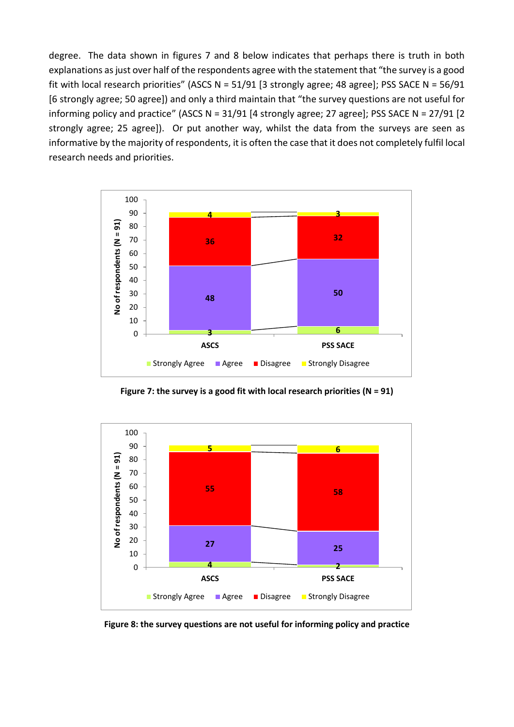degree. The data shown in figures 7 and 8 below indicates that perhaps there is truth in both explanations as just over half of the respondents agree with the statement that "the survey is a good fit with local research priorities" (ASCS N =  $51/91$  [3 strongly agree; 48 agree]; PSS SACE N =  $56/91$ [6 strongly agree; 50 agree]) and only a third maintain that "the survey questions are not useful for informing policy and practice" (ASCS N = 31/91 [4 strongly agree; 27 agree]; PSS SACE N = 27/91 [2 strongly agree; 25 agree]). Or put another way, whilst the data from the surveys are seen as informative by the majority of respondents, it is often the case that it does not completely fulfil local research needs and priorities.



**Figure 7: the survey is a good fit with local research priorities (N = 91)**



**Figure 8: the survey questions are not useful for informing policy and practice**